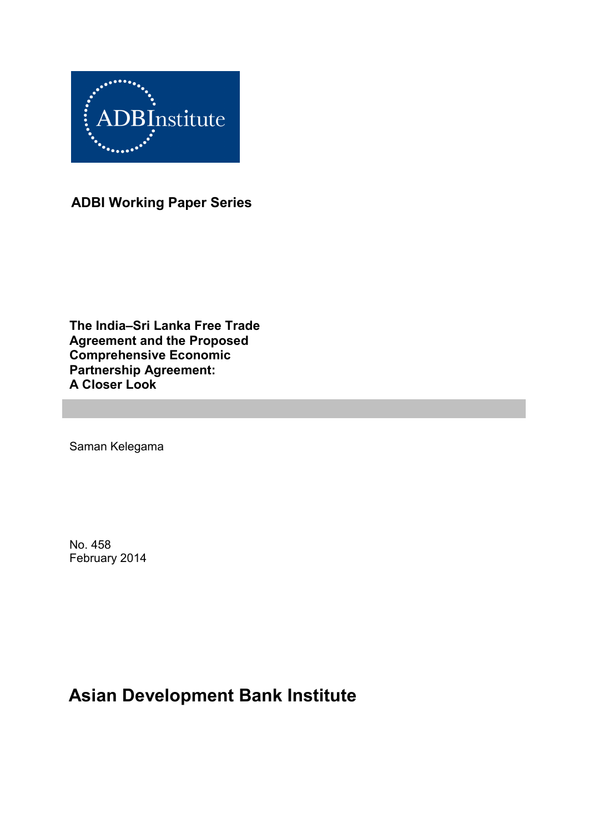

**ADBI Working Paper Series**

**The India–Sri Lanka Free Trade Agreement and the Proposed Comprehensive Economic Partnership Agreement: A Closer Look**

Saman Kelegama

No. 458 February 2014

# **Asian Development Bank Institute**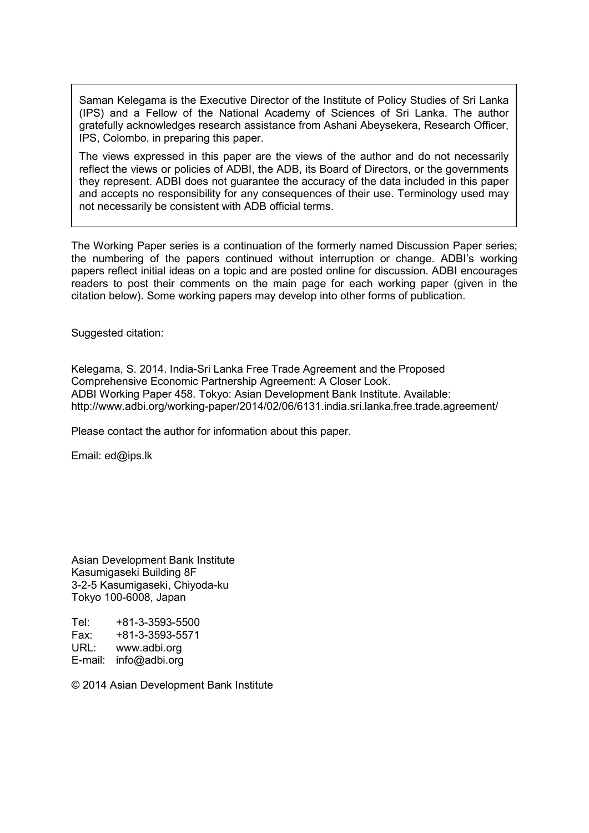Saman Kelegama is the Executive Director of the Institute of Policy Studies of Sri Lanka (IPS) and a Fellow of the National Academy of Sciences of Sri Lanka. The author gratefully acknowledges research assistance from Ashani Abeysekera, Research Officer, IPS, Colombo, in preparing this paper.

The views expressed in this paper are the views of the author and do not necessarily reflect the views or policies of ADBI, the ADB, its Board of Directors, or the governments they represent. ADBI does not guarantee the accuracy of the data included in this paper and accepts no responsibility for any consequences of their use. Terminology used may not necessarily be consistent with ADB official terms.

The Working Paper series is a continuation of the formerly named Discussion Paper series; the numbering of the papers continued without interruption or change. ADBI's working papers reflect initial ideas on a topic and are posted online for discussion. ADBI encourages readers to post their comments on the main page for each working paper (given in the citation below). Some working papers may develop into other forms of publication.

Suggested citation:

Kelegama, S. 2014. India-Sri Lanka Free Trade Agreement and the Proposed Comprehensive Economic Partnership Agreement: A Closer Look. ADBI Working Paper 458. Tokyo: Asian Development Bank Institute. Available: http://www.adbi.org/working-paper/2014/02/06/6131.india.sri.lanka.free.trade.agreement/

Please contact the author for information about this paper.

Email: ed@ips.lk

Asian Development Bank Institute Kasumigaseki Building 8F 3-2-5 Kasumigaseki, Chiyoda-ku Tokyo 100-6008, Japan

Tel: +81-3-3593-5500<br>Fax: +81-3-3593-5571 Fax: +81-3-3593-5571 URL: www.adbi.org E-mail: info@adbi.org

© 2014 Asian Development Bank Institute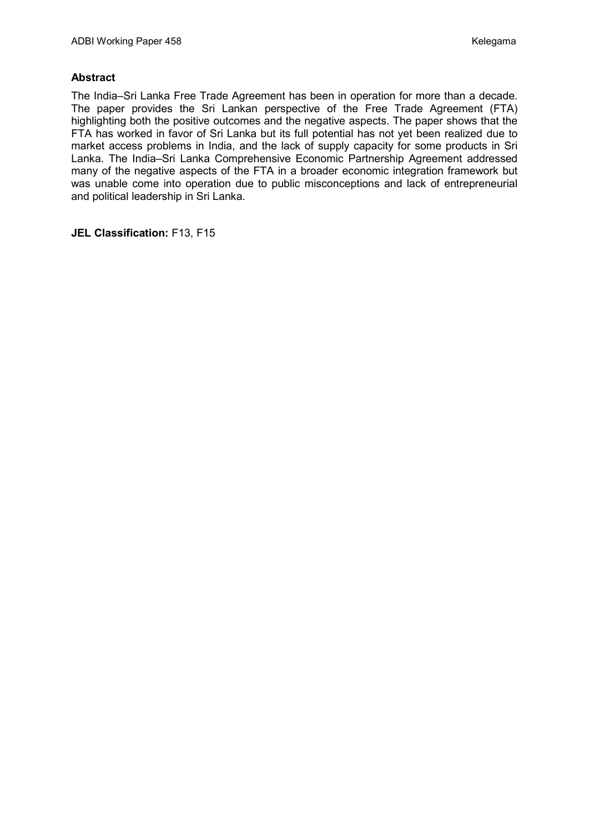#### **Abstract**

The India–Sri Lanka Free Trade Agreement has been in operation for more than a decade. The paper provides the Sri Lankan perspective of the Free Trade Agreement (FTA) highlighting both the positive outcomes and the negative aspects. The paper shows that the FTA has worked in favor of Sri Lanka but its full potential has not yet been realized due to market access problems in India, and the lack of supply capacity for some products in Sri Lanka. The India–Sri Lanka Comprehensive Economic Partnership Agreement addressed many of the negative aspects of the FTA in a broader economic integration framework but was unable come into operation due to public misconceptions and lack of entrepreneurial and political leadership in Sri Lanka.

**JEL Classification:** F13, F15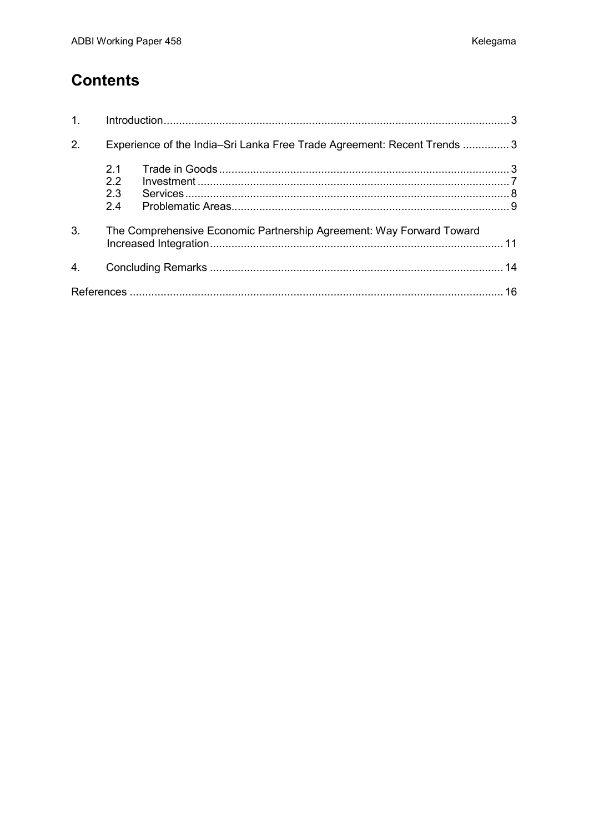## **Contents**

| 1 <sub>1</sub>   |                                                                          |  |  |  |  |
|------------------|--------------------------------------------------------------------------|--|--|--|--|
| 2.               | Experience of the India–Sri Lanka Free Trade Agreement: Recent Trends  3 |  |  |  |  |
|                  | 2.1<br>2.2<br>2.3<br>2.4                                                 |  |  |  |  |
| 3.               | The Comprehensive Economic Partnership Agreement: Way Forward Toward     |  |  |  |  |
| $\overline{4}$ . |                                                                          |  |  |  |  |
|                  |                                                                          |  |  |  |  |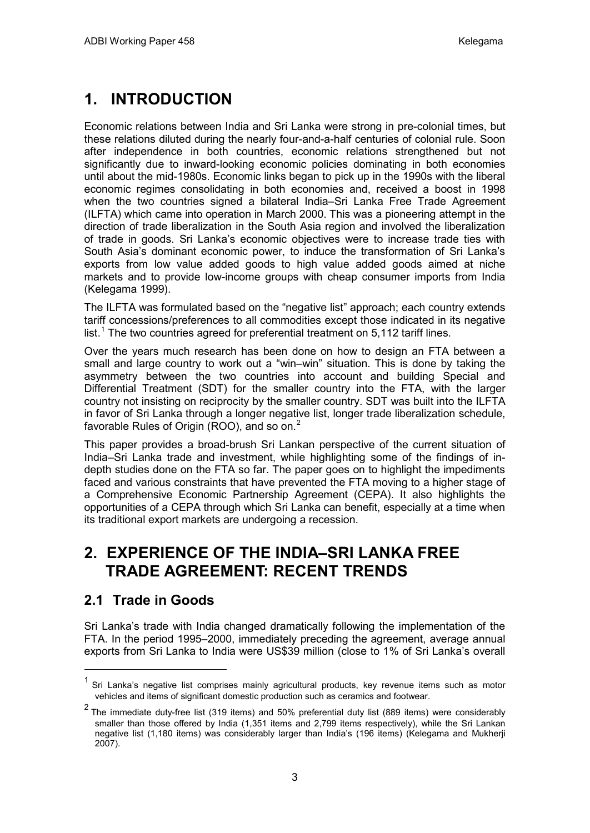# **1. INTRODUCTION**

Economic relations between India and Sri Lanka were strong in pre-colonial times, but these relations diluted during the nearly four-and-a-half centuries of colonial rule. Soon after independence in both countries, economic relations strengthened but not significantly due to inward-looking economic policies dominating in both economies until about the mid-1980s. Economic links began to pick up in the 1990s with the liberal economic regimes consolidating in both economies and, received a boost in 1998 when the two countries signed a bilateral India–Sri Lanka Free Trade Agreement (ILFTA) which came into operation in March 2000. This was a pioneering attempt in the direction of trade liberalization in the South Asia region and involved the liberalization of trade in goods. Sri Lanka's economic objectives were to increase trade ties with South Asia's dominant economic power, to induce the transformation of Sri Lanka's exports from low value added goods to high value added goods aimed at niche markets and to provide low-income groups with cheap consumer imports from India (Kelegama 1999).

The ILFTA was formulated based on the "negative list" approach; each country extends tariff concessions/preferences to all commodities except those indicated in its negative list.<sup>[1](#page-4-0)</sup> The two countries agreed for preferential treatment on 5,112 tariff lines.

Over the years much research has been done on how to design an FTA between a small and large country to work out a "win–win" situation. This is done by taking the asymmetry between the two countries into account and building Special and Differential Treatment (SDT) for the smaller country into the FTA, with the larger country not insisting on reciprocity by the smaller country. SDT was built into the ILFTA in favor of Sri Lanka through a longer negative list, longer trade liberalization schedule, favorable Rules of Origin (ROO), and so on.<sup>[2](#page-4-1)</sup>

This paper provides a broad-brush Sri Lankan perspective of the current situation of India–Sri Lanka trade and investment, while highlighting some of the findings of indepth studies done on the FTA so far. The paper goes on to highlight the impediments faced and various constraints that have prevented the FTA moving to a higher stage of a Comprehensive Economic Partnership Agreement (CEPA). It also highlights the opportunities of a CEPA through which Sri Lanka can benefit, especially at a time when its traditional export markets are undergoing a recession.

## **2. EXPERIENCE OF THE INDIA–SRI LANKA FREE TRADE AGREEMENT: RECENT TRENDS**

## **2.1 Trade in Goods**

Sri Lanka's trade with India changed dramatically following the implementation of the FTA. In the period 1995–2000, immediately preceding the agreement, average annual exports from Sri Lanka to India were US\$39 million (close to 1% of Sri Lanka's overall

<span id="page-4-0"></span> $1$  Sri Lanka's negative list comprises mainly agricultural products, key revenue items such as motor vehicles and items of significant domestic production such as ceramics and footwear.

<span id="page-4-1"></span> $2$  The immediate duty-free list (319 items) and 50% preferential duty list (889 items) were considerably smaller than those offered by India (1,351 items and 2,799 items respectively), while the Sri Lankan negative list (1,180 items) was considerably larger than India's (196 items) (Kelegama and Mukherji 2007).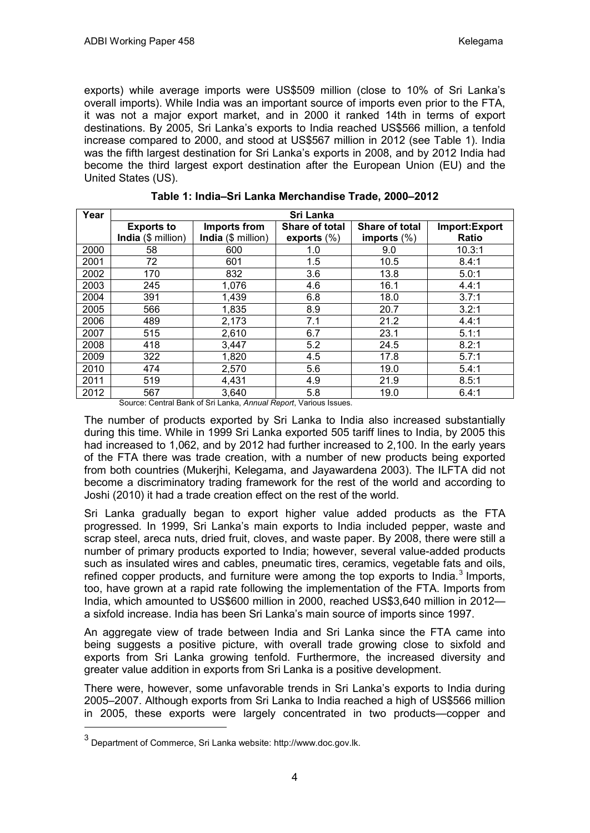exports) while average imports were US\$509 million (close to 10% of Sri Lanka's overall imports). While India was an important source of imports even prior to the FTA, it was not a major export market, and in 2000 it ranked 14th in terms of export destinations. By 2005, Sri Lanka's exports to India reached US\$566 million, a tenfold increase compared to 2000, and stood at US\$567 million in 2012 (see Table 1). India was the fifth largest destination for Sri Lanka's exports in 2008, and by 2012 India had become the third largest export destination after the European Union (EU) and the United States (US).

| Year | Sri Lanka          |                    |                       |                       |               |  |  |  |  |
|------|--------------------|--------------------|-----------------------|-----------------------|---------------|--|--|--|--|
|      | <b>Exports to</b>  | Imports from       | <b>Share of total</b> | <b>Share of total</b> | Import:Export |  |  |  |  |
|      | India (\$ million) | India (\$ million) | exports $(\%)$        | imports $(\%)$        | Ratio         |  |  |  |  |
| 2000 | 58                 | 600                | 1.0                   | 9.0                   | 10.3:1        |  |  |  |  |
| 2001 | 72                 | 601                | 1.5                   | 10.5                  | 8.4:1         |  |  |  |  |
| 2002 | 170                | 832                | 3.6                   | 13.8                  | 5.0:1         |  |  |  |  |
| 2003 | 245                | 1,076              | 4.6                   | 16.1                  | 4.4:1         |  |  |  |  |
| 2004 | 391                | 1,439              | 6.8                   | 18.0                  | 3.7:1         |  |  |  |  |
| 2005 | 566                | 1,835              | 8.9                   | 20.7                  | 3.2:1         |  |  |  |  |
| 2006 | 489                | 2,173              | 7.1                   | 21.2                  | 4.4:1         |  |  |  |  |
| 2007 | 515                | 2,610              | 6.7                   | 23.1                  | 5.1:1         |  |  |  |  |
| 2008 | 418                | 3,447              | 5.2                   | 24.5                  | 8.2:1         |  |  |  |  |
| 2009 | 322                | 1,820              | 4.5                   | 17.8                  | 5.7:1         |  |  |  |  |
| 2010 | 474                | 2,570              | 5.6                   | 19.0                  | 5.4:1         |  |  |  |  |
| 2011 | 519                | 4,431              | 4.9                   | 21.9                  | 8.5:1         |  |  |  |  |
| 2012 | 567                | 3,640              | 5.8                   | 19.0                  | 6.4:1         |  |  |  |  |

**Table 1: India–Sri Lanka Merchandise Trade, 2000–2012**

Source: Central Bank of Sri Lanka, *Annual Report*, Various Issues.

The number of products exported by Sri Lanka to India also increased substantially during this time. While in 1999 Sri Lanka exported 505 tariff lines to India, by 2005 this had increased to 1,062, and by 2012 had further increased to 2,100. In the early years of the FTA there was trade creation, with a number of new products being exported from both countries (Mukerjhi, Kelegama, and Jayawardena 2003). The ILFTA did not become a discriminatory trading framework for the rest of the world and according to Joshi (2010) it had a trade creation effect on the rest of the world.

Sri Lanka gradually began to export higher value added products as the FTA progressed. In 1999, Sri Lanka's main exports to India included pepper, waste and scrap steel, areca nuts, dried fruit, cloves, and waste paper. By 2008, there were still a number of primary products exported to India; however, several value-added products such as insulated wires and cables, pneumatic tires, ceramics, vegetable fats and oils, refined copper products, and furniture were among the top exports to India.<sup>[3](#page-5-0)</sup> Imports, too, have grown at a rapid rate following the implementation of the FTA. Imports from India, which amounted to US\$600 million in 2000, reached US\$3,640 million in 2012 a sixfold increase. India has been Sri Lanka's main source of imports since 1997.

An aggregate view of trade between India and Sri Lanka since the FTA came into being suggests a positive picture, with overall trade growing close to sixfold and exports from Sri Lanka growing tenfold. Furthermore, the increased diversity and greater value addition in exports from Sri Lanka is a positive development.

There were, however, some unfavorable trends in Sri Lanka's exports to India during 2005–2007. Although exports from Sri Lanka to India reached a high of US\$566 million in 2005, these exports were largely concentrated in two products—copper and

<span id="page-5-0"></span> $3$  Department of Commerce, Sri Lanka website: http://www.doc.gov.lk.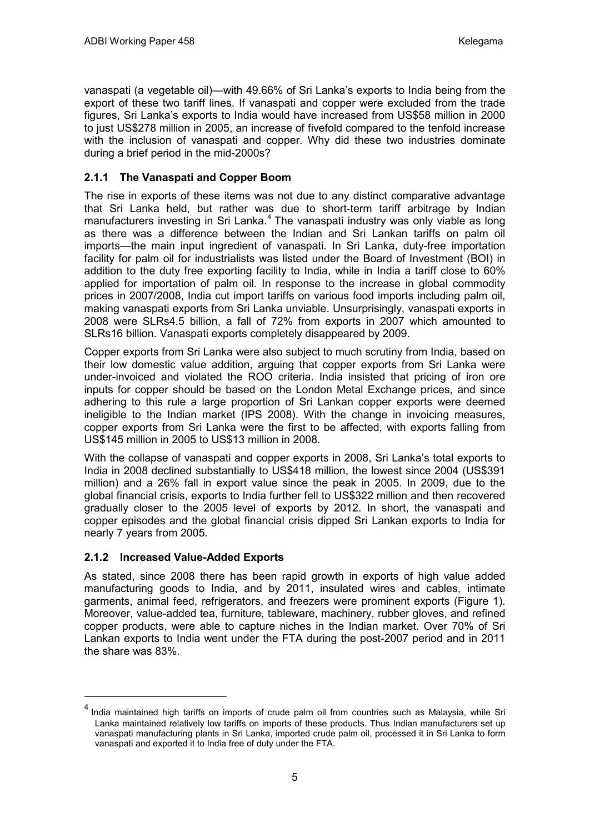vanaspati (a vegetable oil)—with 49.66% of Sri Lanka's exports to India being from the export of these two tariff lines. If vanaspati and copper were excluded from the trade figures, Sri Lanka's exports to India would have increased from US\$58 million in 2000 to just US\$278 million in 2005, an increase of fivefold compared to the tenfold increase with the inclusion of vanaspati and copper. Why did these two industries dominate during a brief period in the mid-2000s?

### **2.1.1 The Vanaspati and Copper Boom**

The rise in exports of these items was not due to any distinct comparative advantage that Sri Lanka held, but rather was due to short-term tariff arbitrage by Indian manufacturers investing in Sri Lanka.<sup>[4](#page-6-0)</sup> The vanaspati industry was only viable as long as there was a difference between the Indian and Sri Lankan tariffs on palm oil imports—the main input ingredient of vanaspati. In Sri Lanka, duty-free importation facility for palm oil for industrialists was listed under the Board of Investment (BOI) in addition to the duty free exporting facility to India, while in India a tariff close to 60% applied for importation of palm oil. In response to the increase in global commodity prices in 2007/2008, India cut import tariffs on various food imports including palm oil, making vanaspati exports from Sri Lanka unviable. Unsurprisingly, vanaspati exports in 2008 were SLRs4.5 billion, a fall of 72% from exports in 2007 which amounted to SLRs16 billion. Vanaspati exports completely disappeared by 2009.

Copper exports from Sri Lanka were also subject to much scrutiny from India, based on their low domestic value addition, arguing that copper exports from Sri Lanka were under-invoiced and violated the ROO criteria. India insisted that pricing of iron ore inputs for copper should be based on the London Metal Exchange prices, and since adhering to this rule a large proportion of Sri Lankan copper exports were deemed ineligible to the Indian market (IPS 2008). With the change in invoicing measures, copper exports from Sri Lanka were the first to be affected, with exports falling from US\$145 million in 2005 to US\$13 million in 2008.

With the collapse of vanaspati and copper exports in 2008, Sri Lanka's total exports to India in 2008 declined substantially to US\$418 million, the lowest since 2004 (US\$391 million) and a 26% fall in export value since the peak in 2005. In 2009, due to the global financial crisis, exports to India further fell to US\$322 million and then recovered gradually closer to the 2005 level of exports by 2012. In short, the vanaspati and copper episodes and the global financial crisis dipped Sri Lankan exports to India for nearly 7 years from 2005.

### **2.1.2 Increased Value-Added Exports**

 $\overline{a}$ 

As stated, since 2008 there has been rapid growth in exports of high value added manufacturing goods to India, and by 2011, insulated wires and cables, intimate garments, animal feed, refrigerators, and freezers were prominent exports (Figure 1). Moreover, value-added tea, furniture, tableware, machinery, rubber gloves, and refined copper products, were able to capture niches in the Indian market. Over 70% of Sri Lankan exports to India went under the FTA during the post-2007 period and in 2011 the share was 83%.

<span id="page-6-0"></span>India maintained high tariffs on imports of crude palm oil from countries such as Malaysia, while Sri Lanka maintained relatively low tariffs on imports of these products. Thus Indian manufacturers set up vanaspati manufacturing plants in Sri Lanka, imported crude palm oil, processed it in Sri Lanka to form vanaspati and exported it to India free of duty under the FTA.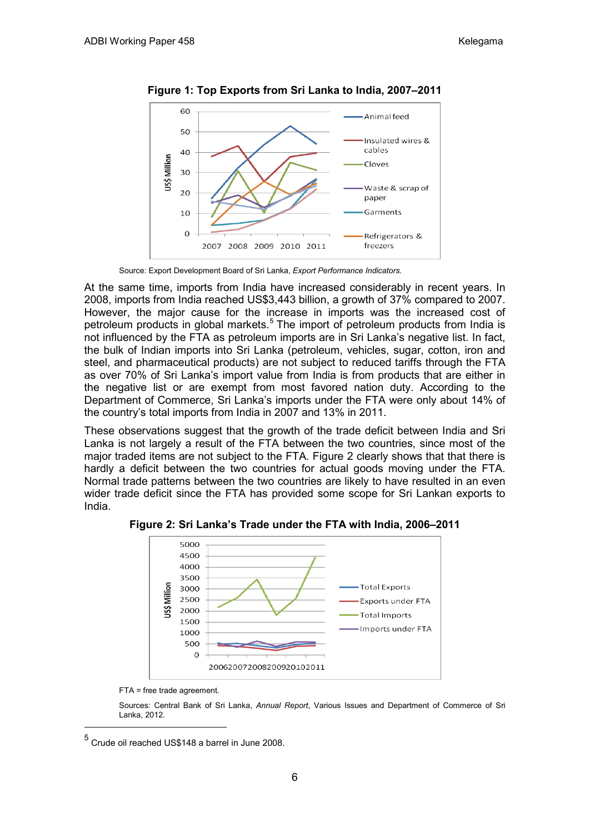

**Figure 1: Top Exports from Sri Lanka to India, 2007–2011**

Source: Export Development Board of Sri Lanka, *Export Performance Indicators*.

At the same time, imports from India have increased considerably in recent years. In 2008, imports from India reached US\$3,443 billion, a growth of 37% compared to 2007. However, the major cause for the increase in imports was the increased cost of petroleum products in global markets.<sup>[5](#page-7-0)</sup> The import of petroleum products from India is not influenced by the FTA as petroleum imports are in Sri Lanka's negative list. In fact, the bulk of Indian imports into Sri Lanka (petroleum, vehicles, sugar, cotton, iron and steel, and pharmaceutical products) are not subject to reduced tariffs through the FTA as over 70% of Sri Lanka's import value from India is from products that are either in the negative list or are exempt from most favored nation duty. According to the Department of Commerce, Sri Lanka's imports under the FTA were only about 14% of the country's total imports from India in 2007 and 13% in 2011.

These observations suggest that the growth of the trade deficit between India and Sri Lanka is not largely a result of the FTA between the two countries, since most of the major traded items are not subject to the FTA. Figure 2 clearly shows that that there is hardly a deficit between the two countries for actual goods moving under the FTA. Normal trade patterns between the two countries are likely to have resulted in an even wider trade deficit since the FTA has provided some scope for Sri Lankan exports to India.



**Figure 2: Sri Lanka's Trade under the FTA with India, 2006–2011**

FTA = free trade agreement.

Sources: Central Bank of Sri Lanka, *Annual Report*, Various Issues and Department of Commerce of Sri Lanka, 2012.

<span id="page-7-0"></span> <sup>5</sup> Crude oil reached US\$148 a barrel in June 2008.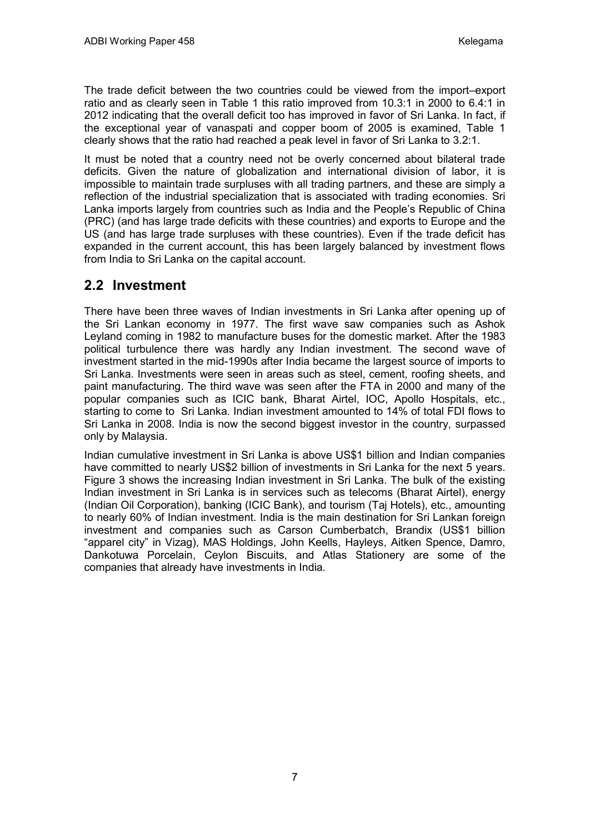The trade deficit between the two countries could be viewed from the import–export ratio and as clearly seen in Table 1 this ratio improved from 10.3:1 in 2000 to 6.4:1 in 2012 indicating that the overall deficit too has improved in favor of Sri Lanka. In fact, if the exceptional year of vanaspati and copper boom of 2005 is examined, Table 1 clearly shows that the ratio had reached a peak level in favor of Sri Lanka to 3.2:1.

It must be noted that a country need not be overly concerned about bilateral trade deficits. Given the nature of globalization and international division of labor, it is impossible to maintain trade surpluses with all trading partners, and these are simply a reflection of the industrial specialization that is associated with trading economies. Sri Lanka imports largely from countries such as India and the People's Republic of China (PRC) (and has large trade deficits with these countries) and exports to Europe and the US (and has large trade surpluses with these countries). Even if the trade deficit has expanded in the current account, this has been largely balanced by investment flows from India to Sri Lanka on the capital account.

## **2.2 Investment**

There have been three waves of Indian investments in Sri Lanka after opening up of the Sri Lankan economy in 1977. The first wave saw companies such as Ashok Leyland coming in 1982 to manufacture buses for the domestic market. After the 1983 political turbulence there was hardly any Indian investment. The second wave of investment started in the mid-1990s after India became the largest source of imports to Sri Lanka. Investments were seen in areas such as steel, cement, roofing sheets, and paint manufacturing. The third wave was seen after the FTA in 2000 and many of the popular companies such as ICIC bank, Bharat Airtel, IOC, Apollo Hospitals, etc., starting to come to Sri Lanka. Indian investment amounted to 14% of total FDI flows to Sri Lanka in 2008. India is now the second biggest investor in the country, surpassed only by Malaysia.

Indian cumulative investment in Sri Lanka is above US\$1 billion and Indian companies have committed to nearly US\$2 billion of investments in Sri Lanka for the next 5 years. Figure 3 shows the increasing Indian investment in Sri Lanka. The bulk of the existing Indian investment in Sri Lanka is in services such as telecoms (Bharat Airtel), energy (Indian Oil Corporation), banking (ICIC Bank), and tourism (Taj Hotels), etc., amounting to nearly 60% of Indian investment. India is the main destination for Sri Lankan foreign investment and companies such as Carson Cumberbatch, Brandix (US\$1 billion "apparel city" in Vizag), MAS Holdings, John Keells, Hayleys, Aitken Spence, Damro, Dankotuwa Porcelain, Ceylon Biscuits, and Atlas Stationery are some of the companies that already have investments in India.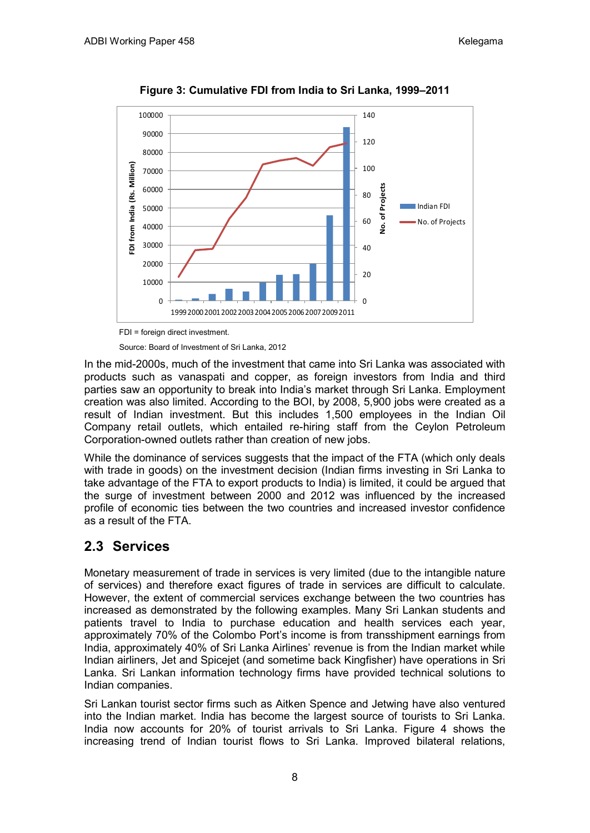

**Figure 3: Cumulative FDI from India to Sri Lanka, 1999–2011**

Source: Board of Investment of Sri Lanka, 2012

In the mid-2000s, much of the investment that came into Sri Lanka was associated with products such as vanaspati and copper, as foreign investors from India and third parties saw an opportunity to break into India's market through Sri Lanka. Employment creation was also limited. According to the BOI, by 2008, 5,900 jobs were created as a result of Indian investment. But this includes 1,500 employees in the Indian Oil Company retail outlets, which entailed re-hiring staff from the Ceylon Petroleum Corporation-owned outlets rather than creation of new jobs.

While the dominance of services suggests that the impact of the FTA (which only deals with trade in goods) on the investment decision (Indian firms investing in Sri Lanka to take advantage of the FTA to export products to India) is limited, it could be argued that the surge of investment between 2000 and 2012 was influenced by the increased profile of economic ties between the two countries and increased investor confidence as a result of the FTA.

## **2.3 Services**

Monetary measurement of trade in services is very limited (due to the intangible nature of services) and therefore exact figures of trade in services are difficult to calculate. However, the extent of commercial services exchange between the two countries has increased as demonstrated by the following examples. Many Sri Lankan students and patients travel to India to purchase education and health services each year, approximately 70% of the Colombo Port's income is from transshipment earnings from India, approximately 40% of Sri Lanka Airlines' revenue is from the Indian market while Indian airliners, Jet and Spicejet (and sometime back Kingfisher) have operations in Sri Lanka. Sri Lankan information technology firms have provided technical solutions to Indian companies.

Sri Lankan tourist sector firms such as Aitken Spence and Jetwing have also ventured into the Indian market. India has become the largest source of tourists to Sri Lanka. India now accounts for 20% of tourist arrivals to Sri Lanka. Figure 4 shows the increasing trend of Indian tourist flows to Sri Lanka. Improved bilateral relations,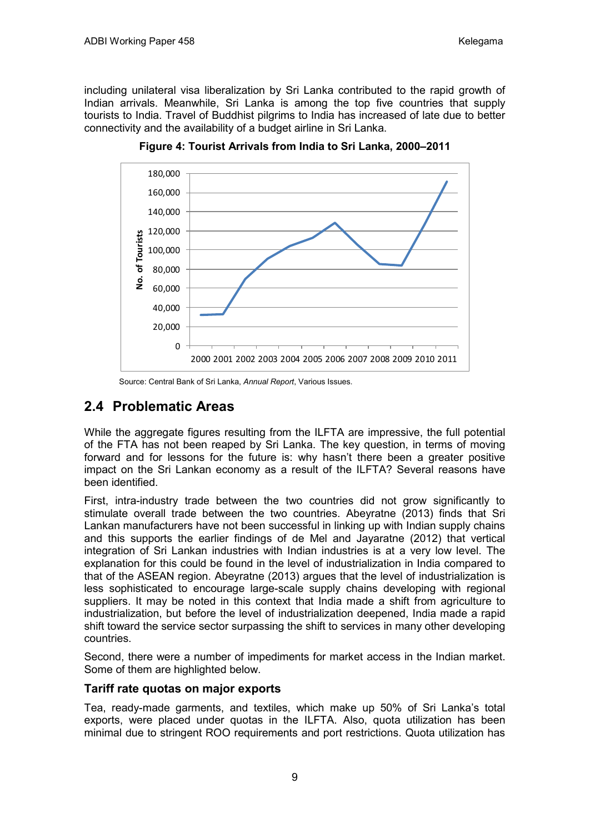including unilateral visa liberalization by Sri Lanka contributed to the rapid growth of Indian arrivals. Meanwhile, Sri Lanka is among the top five countries that supply tourists to India. Travel of Buddhist pilgrims to India has increased of late due to better connectivity and the availability of a budget airline in Sri Lanka.



**Figure 4: Tourist Arrivals from India to Sri Lanka, 2000–2011**

Source: Central Bank of Sri Lanka, *Annual Report*, Various Issues.

## **2.4 Problematic Areas**

While the aggregate figures resulting from the ILFTA are impressive, the full potential of the FTA has not been reaped by Sri Lanka. The key question, in terms of moving forward and for lessons for the future is: why hasn't there been a greater positive impact on the Sri Lankan economy as a result of the ILFTA? Several reasons have been identified.

First, intra-industry trade between the two countries did not grow significantly to stimulate overall trade between the two countries. Abeyratne (2013) finds that Sri Lankan manufacturers have not been successful in linking up with Indian supply chains and this supports the earlier findings of de Mel and Jayaratne (2012) that vertical integration of Sri Lankan industries with Indian industries is at a very low level. The explanation for this could be found in the level of industrialization in India compared to that of the ASEAN region. Abeyratne (2013) argues that the level of industrialization is less sophisticated to encourage large-scale supply chains developing with regional suppliers. It may be noted in this context that India made a shift from agriculture to industrialization, but before the level of industrialization deepened, India made a rapid shift toward the service sector surpassing the shift to services in many other developing countries.

Second, there were a number of impediments for market access in the Indian market. Some of them are highlighted below.

### **Tariff rate quotas on major exports**

Tea, ready-made garments, and textiles, which make up 50% of Sri Lanka's total exports, were placed under quotas in the ILFTA. Also, quota utilization has been minimal due to stringent ROO requirements and port restrictions. Quota utilization has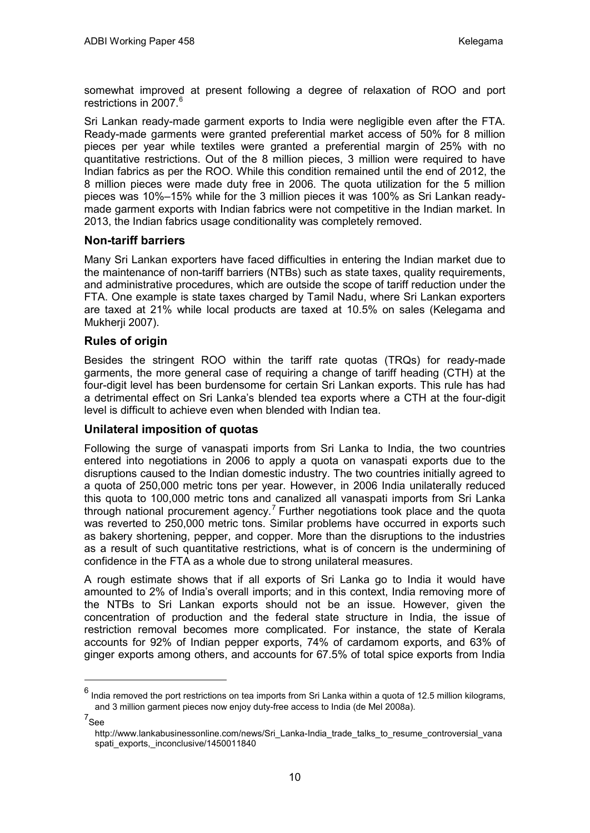somewhat improved at present following a degree of relaxation of ROO and port restrictions in 2007.<sup>[6](#page-11-0)</sup>

Sri Lankan ready-made garment exports to India were negligible even after the FTA. Ready-made garments were granted preferential market access of 50% for 8 million pieces per year while textiles were granted a preferential margin of 25% with no quantitative restrictions. Out of the 8 million pieces, 3 million were required to have Indian fabrics as per the ROO. While this condition remained until the end of 2012, the 8 million pieces were made duty free in 2006. The quota utilization for the 5 million pieces was 10%–15% while for the 3 million pieces it was 100% as Sri Lankan readymade garment exports with Indian fabrics were not competitive in the Indian market. In 2013, the Indian fabrics usage conditionality was completely removed.

### **Non-tariff barriers**

Many Sri Lankan exporters have faced difficulties in entering the Indian market due to the maintenance of non-tariff barriers (NTBs) such as state taxes, quality requirements, and administrative procedures, which are outside the scope of tariff reduction under the FTA. One example is state taxes charged by Tamil Nadu, where Sri Lankan exporters are taxed at 21% while local products are taxed at 10.5% on sales (Kelegama and Mukherii 2007).

### **Rules of origin**

Besides the stringent ROO within the tariff rate quotas (TRQs) for ready-made garments, the more general case of requiring a change of tariff heading (CTH) at the four-digit level has been burdensome for certain Sri Lankan exports. This rule has had a detrimental effect on Sri Lanka's blended tea exports where a CTH at the four-digit level is difficult to achieve even when blended with Indian tea.

### **Unilateral imposition of quotas**

Following the surge of vanaspati imports from Sri Lanka to India, the two countries entered into negotiations in 2006 to apply a quota on vanaspati exports due to the disruptions caused to the Indian domestic industry. The two countries initially agreed to a quota of 250,000 metric tons per year. However, in 2006 India unilaterally reduced this quota to 100,000 metric tons and canalized all vanaspati imports from Sri Lanka through national procurement agency.<sup>[7](#page-11-1)</sup> Further negotiations took place and the quota was reverted to 250,000 metric tons. Similar problems have occurred in exports such as bakery shortening, pepper, and copper. More than the disruptions to the industries as a result of such quantitative restrictions, what is of concern is the undermining of confidence in the FTA as a whole due to strong unilateral measures.

A rough estimate shows that if all exports of Sri Lanka go to India it would have amounted to 2% of India's overall imports; and in this context, India removing more of the NTBs to Sri Lankan exports should not be an issue. However, given the concentration of production and the federal state structure in India, the issue of restriction removal becomes more complicated. For instance, the state of Kerala accounts for 92% of Indian pepper exports, 74% of cardamom exports, and 63% of ginger exports among others, and accounts for 67.5% of total spice exports from India

<span id="page-11-1"></span> $^7$ See

<span id="page-11-0"></span> $<sup>6</sup>$  India removed the port restrictions on tea imports from Sri Lanka within a quota of 12.5 million kilograms,</sup> and 3 million garment pieces now enjoy duty-free access to India (de Mel 2008a).

http://www.lankabusinessonline.com/news/Sri\_Lanka-India\_trade\_talks\_to\_resume\_controversial\_vana spati\_exports,\_inconclusive/1450011840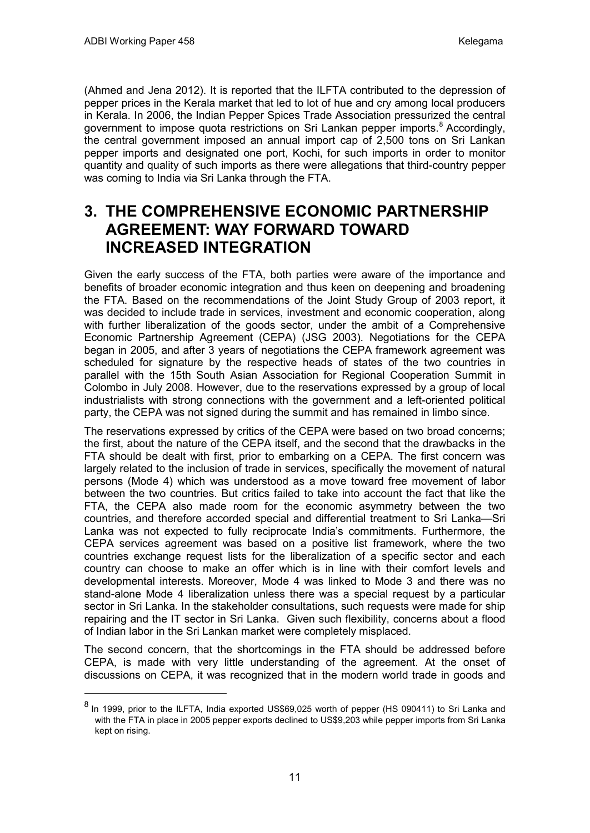$\overline{a}$ 

(Ahmed and Jena 2012). It is reported that the ILFTA contributed to the depression of pepper prices in the Kerala market that led to lot of hue and cry among local producers in Kerala. In 2006, the Indian Pepper Spices Trade Association pressurized the central government to impose quota restrictions on Sri Lankan pepper imports.<sup>[8](#page-12-0)</sup> Accordingly, the central government imposed an annual import cap of 2,500 tons on Sri Lankan pepper imports and designated one port, Kochi, for such imports in order to monitor quantity and quality of such imports as there were allegations that third-country pepper was coming to India via Sri Lanka through the FTA.

## **3. THE COMPREHENSIVE ECONOMIC PARTNERSHIP AGREEMENT: WAY FORWARD TOWARD INCREASED INTEGRATION**

Given the early success of the FTA, both parties were aware of the importance and benefits of broader economic integration and thus keen on deepening and broadening the FTA. Based on the recommendations of the Joint Study Group of 2003 report, it was decided to include trade in services, investment and economic cooperation, along with further liberalization of the goods sector, under the ambit of a Comprehensive Economic Partnership Agreement (CEPA) (JSG 2003). Negotiations for the CEPA began in 2005, and after 3 years of negotiations the CEPA framework agreement was scheduled for signature by the respective heads of states of the two countries in parallel with the 15th South Asian Association for Regional Cooperation Summit in Colombo in July 2008. However, due to the reservations expressed by a group of local industrialists with strong connections with the government and a left-oriented political party, the CEPA was not signed during the summit and has remained in limbo since.

The reservations expressed by critics of the CEPA were based on two broad concerns; the first, about the nature of the CEPA itself, and the second that the drawbacks in the FTA should be dealt with first, prior to embarking on a CEPA. The first concern was largely related to the inclusion of trade in services, specifically the movement of natural persons (Mode 4) which was understood as a move toward free movement of labor between the two countries. But critics failed to take into account the fact that like the FTA, the CEPA also made room for the economic asymmetry between the two countries, and therefore accorded special and differential treatment to Sri Lanka—Sri Lanka was not expected to fully reciprocate India's commitments. Furthermore, the CEPA services agreement was based on a positive list framework, where the two countries exchange request lists for the liberalization of a specific sector and each country can choose to make an offer which is in line with their comfort levels and developmental interests. Moreover, Mode 4 was linked to Mode 3 and there was no stand-alone Mode 4 liberalization unless there was a special request by a particular sector in Sri Lanka. In the stakeholder consultations, such requests were made for ship repairing and the IT sector in Sri Lanka. Given such flexibility, concerns about a flood of Indian labor in the Sri Lankan market were completely misplaced.

The second concern, that the shortcomings in the FTA should be addressed before CEPA, is made with very little understanding of the agreement. At the onset of discussions on CEPA, it was recognized that in the modern world trade in goods and

<span id="page-12-0"></span><sup>&</sup>lt;sup>8</sup> In 1999, prior to the ILFTA, India exported US\$69,025 worth of pepper (HS 090411) to Sri Lanka and with the FTA in place in 2005 pepper exports declined to US\$9,203 while pepper imports from Sri Lanka kept on rising.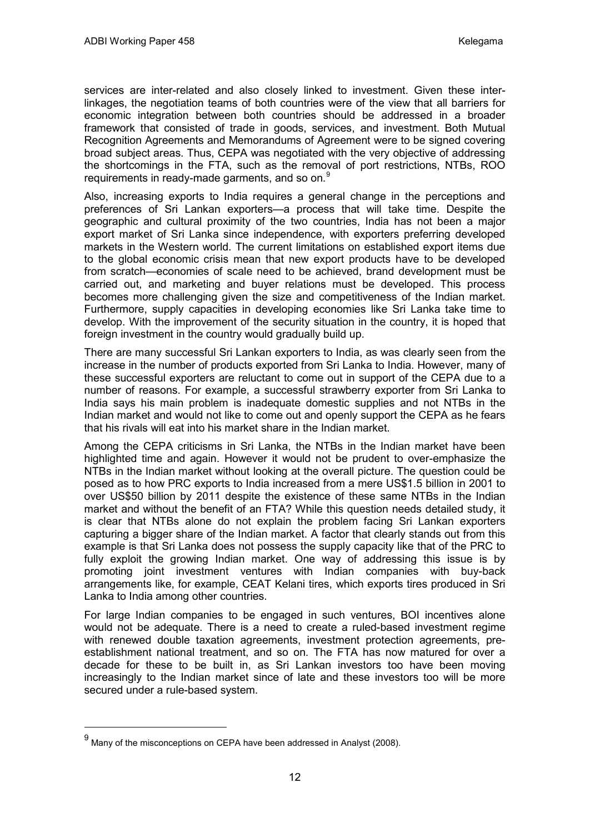services are inter-related and also closely linked to investment. Given these interlinkages, the negotiation teams of both countries were of the view that all barriers for economic integration between both countries should be addressed in a broader framework that consisted of trade in goods, services, and investment. Both Mutual Recognition Agreements and Memorandums of Agreement were to be signed covering broad subject areas. Thus, CEPA was negotiated with the very objective of addressing the shortcomings in the FTA, such as the removal of port restrictions, NTBs, ROO requirements in ready-made garments, and so on.<sup>[9](#page-13-0)</sup>

Also, increasing exports to India requires a general change in the perceptions and preferences of Sri Lankan exporters—a process that will take time. Despite the geographic and cultural proximity of the two countries, India has not been a major export market of Sri Lanka since independence, with exporters preferring developed markets in the Western world. The current limitations on established export items due to the global economic crisis mean that new export products have to be developed from scratch—economies of scale need to be achieved, brand development must be carried out, and marketing and buyer relations must be developed. This process becomes more challenging given the size and competitiveness of the Indian market. Furthermore, supply capacities in developing economies like Sri Lanka take time to develop. With the improvement of the security situation in the country, it is hoped that foreign investment in the country would gradually build up.

There are many successful Sri Lankan exporters to India, as was clearly seen from the increase in the number of products exported from Sri Lanka to India. However, many of these successful exporters are reluctant to come out in support of the CEPA due to a number of reasons. For example, a successful strawberry exporter from Sri Lanka to India says his main problem is inadequate domestic supplies and not NTBs in the Indian market and would not like to come out and openly support the CEPA as he fears that his rivals will eat into his market share in the Indian market.

Among the CEPA criticisms in Sri Lanka, the NTBs in the Indian market have been highlighted time and again. However it would not be prudent to over-emphasize the NTBs in the Indian market without looking at the overall picture. The question could be posed as to how PRC exports to India increased from a mere US\$1.5 billion in 2001 to over US\$50 billion by 2011 despite the existence of these same NTBs in the Indian market and without the benefit of an FTA? While this question needs detailed study, it is clear that NTBs alone do not explain the problem facing Sri Lankan exporters capturing a bigger share of the Indian market. A factor that clearly stands out from this example is that Sri Lanka does not possess the supply capacity like that of the PRC to fully exploit the growing Indian market. One way of addressing this issue is by promoting joint investment ventures with Indian companies with buy-back arrangements like, for example, CEAT Kelani tires, which exports tires produced in Sri Lanka to India among other countries.

For large Indian companies to be engaged in such ventures, BOI incentives alone would not be adequate. There is a need to create a ruled-based investment regime with renewed double taxation agreements, investment protection agreements, preestablishment national treatment, and so on. The FTA has now matured for over a decade for these to be built in, as Sri Lankan investors too have been moving increasingly to the Indian market since of late and these investors too will be more secured under a rule-based system.

<span id="page-13-0"></span> $9$  Many of the misconceptions on CEPA have been addressed in Analyst (2008).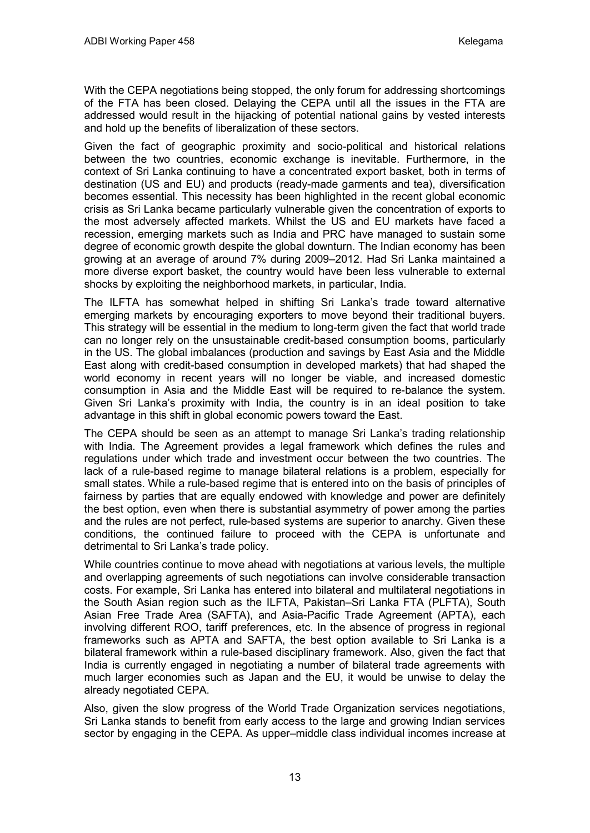With the CEPA negotiations being stopped, the only forum for addressing shortcomings of the FTA has been closed. Delaying the CEPA until all the issues in the FTA are addressed would result in the hijacking of potential national gains by vested interests and hold up the benefits of liberalization of these sectors.

Given the fact of geographic proximity and socio-political and historical relations between the two countries, economic exchange is inevitable. Furthermore, in the context of Sri Lanka continuing to have a concentrated export basket, both in terms of destination (US and EU) and products (ready-made garments and tea), diversification becomes essential. This necessity has been highlighted in the recent global economic crisis as Sri Lanka became particularly vulnerable given the concentration of exports to the most adversely affected markets. Whilst the US and EU markets have faced a recession, emerging markets such as India and PRC have managed to sustain some degree of economic growth despite the global downturn. The Indian economy has been growing at an average of around 7% during 2009–2012. Had Sri Lanka maintained a more diverse export basket, the country would have been less vulnerable to external shocks by exploiting the neighborhood markets, in particular, India.

The ILFTA has somewhat helped in shifting Sri Lanka's trade toward alternative emerging markets by encouraging exporters to move beyond their traditional buyers. This strategy will be essential in the medium to long-term given the fact that world trade can no longer rely on the unsustainable credit-based consumption booms, particularly in the US. The global imbalances (production and savings by East Asia and the Middle East along with credit-based consumption in developed markets) that had shaped the world economy in recent years will no longer be viable, and increased domestic consumption in Asia and the Middle East will be required to re-balance the system. Given Sri Lanka's proximity with India, the country is in an ideal position to take advantage in this shift in global economic powers toward the East.

The CEPA should be seen as an attempt to manage Sri Lanka's trading relationship with India. The Agreement provides a legal framework which defines the rules and regulations under which trade and investment occur between the two countries. The lack of a rule-based regime to manage bilateral relations is a problem, especially for small states. While a rule-based regime that is entered into on the basis of principles of fairness by parties that are equally endowed with knowledge and power are definitely the best option, even when there is substantial asymmetry of power among the parties and the rules are not perfect, rule-based systems are superior to anarchy. Given these conditions, the continued failure to proceed with the CEPA is unfortunate and detrimental to Sri Lanka's trade policy.

While countries continue to move ahead with negotiations at various levels, the multiple and overlapping agreements of such negotiations can involve considerable transaction costs. For example, Sri Lanka has entered into bilateral and multilateral negotiations in the South Asian region such as the ILFTA, Pakistan–Sri Lanka FTA (PLFTA), South Asian Free Trade Area (SAFTA), and Asia-Pacific Trade Agreement (APTA), each involving different ROO, tariff preferences, etc. In the absence of progress in regional frameworks such as APTA and SAFTA, the best option available to Sri Lanka is a bilateral framework within a rule-based disciplinary framework. Also, given the fact that India is currently engaged in negotiating a number of bilateral trade agreements with much larger economies such as Japan and the EU, it would be unwise to delay the already negotiated CEPA.

Also, given the slow progress of the World Trade Organization services negotiations, Sri Lanka stands to benefit from early access to the large and growing Indian services sector by engaging in the CEPA. As upper–middle class individual incomes increase at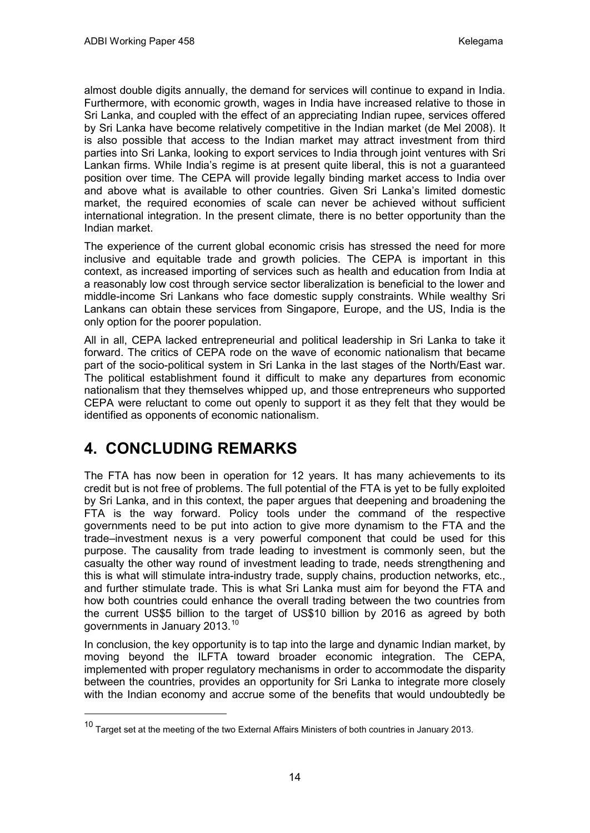almost double digits annually, the demand for services will continue to expand in India. Furthermore, with economic growth, wages in India have increased relative to those in Sri Lanka, and coupled with the effect of an appreciating Indian rupee, services offered by Sri Lanka have become relatively competitive in the Indian market (de Mel 2008). It is also possible that access to the Indian market may attract investment from third parties into Sri Lanka, looking to export services to India through joint ventures with Sri Lankan firms. While India's regime is at present quite liberal, this is not a guaranteed position over time. The CEPA will provide legally binding market access to India over and above what is available to other countries. Given Sri Lanka's limited domestic market, the required economies of scale can never be achieved without sufficient international integration. In the present climate, there is no better opportunity than the Indian market.

The experience of the current global economic crisis has stressed the need for more inclusive and equitable trade and growth policies. The CEPA is important in this context, as increased importing of services such as health and education from India at a reasonably low cost through service sector liberalization is beneficial to the lower and middle-income Sri Lankans who face domestic supply constraints. While wealthy Sri Lankans can obtain these services from Singapore, Europe, and the US, India is the only option for the poorer population.

All in all, CEPA lacked entrepreneurial and political leadership in Sri Lanka to take it forward. The critics of CEPA rode on the wave of economic nationalism that became part of the socio-political system in Sri Lanka in the last stages of the North/East war. The political establishment found it difficult to make any departures from economic nationalism that they themselves whipped up, and those entrepreneurs who supported CEPA were reluctant to come out openly to support it as they felt that they would be identified as opponents of economic nationalism.

# **4. CONCLUDING REMARKS**

The FTA has now been in operation for 12 years. It has many achievements to its credit but is not free of problems. The full potential of the FTA is yet to be fully exploited by Sri Lanka, and in this context, the paper argues that deepening and broadening the FTA is the way forward. Policy tools under the command of the respective governments need to be put into action to give more dynamism to the FTA and the trade–investment nexus is a very powerful component that could be used for this purpose. The causality from trade leading to investment is commonly seen, but the casualty the other way round of investment leading to trade, needs strengthening and this is what will stimulate intra-industry trade, supply chains, production networks, etc., and further stimulate trade. This is what Sri Lanka must aim for beyond the FTA and how both countries could enhance the overall trading between the two countries from the current US\$5 billion to the target of US\$10 billion by 2016 as agreed by both governments in January 2013.<sup>[10](#page-15-0)</sup>

In conclusion, the key opportunity is to tap into the large and dynamic Indian market, by moving beyond the ILFTA toward broader economic integration. The CEPA, implemented with proper regulatory mechanisms in order to accommodate the disparity between the countries, provides an opportunity for Sri Lanka to integrate more closely with the Indian economy and accrue some of the benefits that would undoubtedly be

<span id="page-15-0"></span><sup>&</sup>lt;sup>10</sup> Target set at the meeting of the two External Affairs Ministers of both countries in January 2013.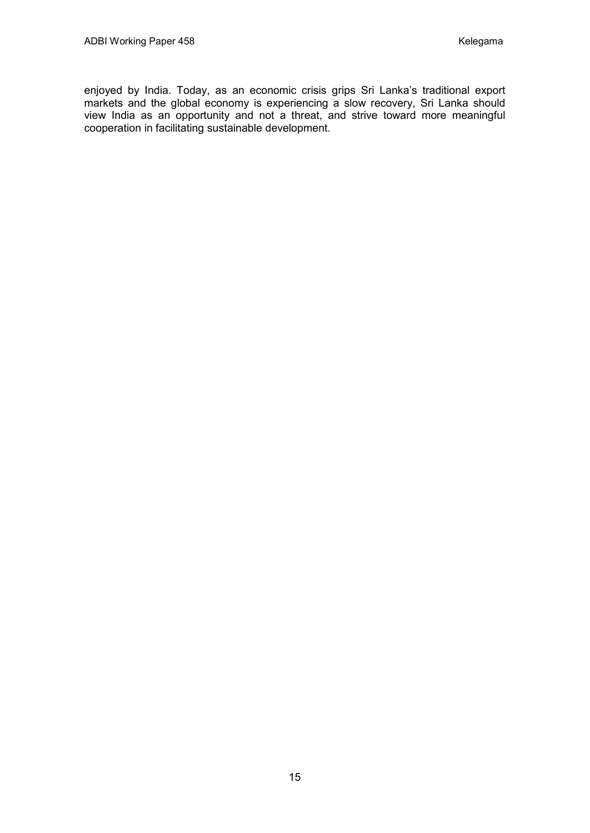enjoyed by India. Today, as an economic crisis grips Sri Lanka's traditional export markets and the global economy is experiencing a slow recovery, Sri Lanka should view India as an opportunity and not a threat, and strive toward more meaningful cooperation in facilitating sustainable development.